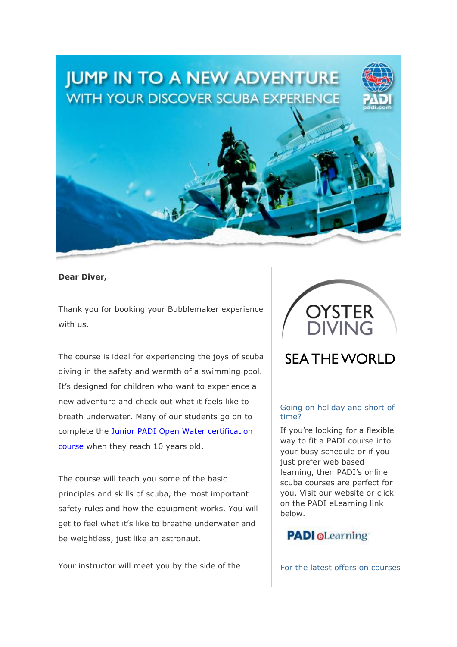# **JUMP IN TO A NEW ADVENTURE WITH YOUR DISCOVER SCUBA EXPERIENCE**



Thank you for booking your Bubblemaker experience with us.

The course is ideal for experiencing the joys of scuba diving in the safety and warmth of a swimming pool. It's designed for children who want to experience a new adventure and check out what it feels like to breath underwater. Many of our students go on to complete the Junior PADI Open Water [certification](https://www.oysterdiving.com/padi-open-water/) [course](https://www.oysterdiving.com/padi-open-water/) when they reach 10 years old.

The course will teach you some of the basic principles and skills of scuba, the most important safety rules and how the equipment works. You will get to feel what it's like to breathe underwater and be weightless, just like an astronaut.

Your instructor will meet you by the side of the

## **SEA THE WORLD**

## Going on holiday and short of time?

If you're looking for a flexible way to fit a PADI course into your busy schedule or if you just prefer web based learning, then PADI's online scuba courses are perfect for you. Visit our website or click on the PADI eLearning link below.



For the latest offers on courses